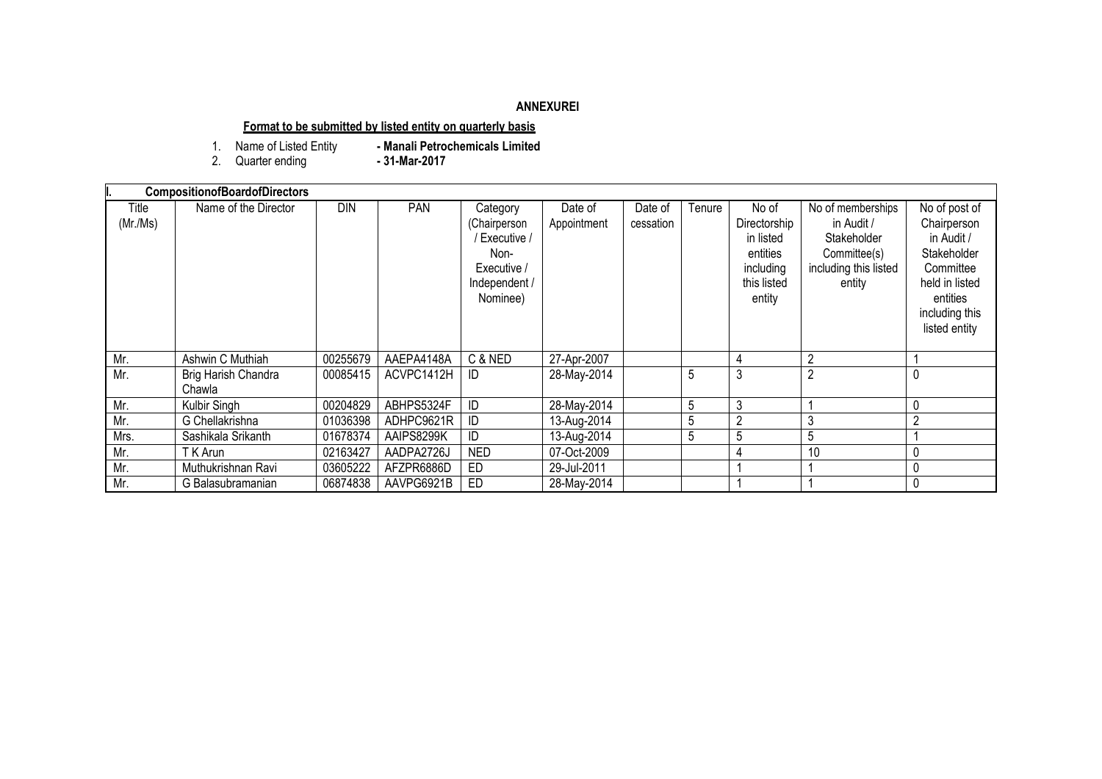### **ANNEXUREI**

# **Format to be submitted by listed entity on quarterly basis**

- Manali Petrochemicals Limited<br>- 31-Mar-2017 1. Name of Listed Entity<br>2. Quarter ending
- 

| <b>CompositionofBoardofDirectors</b> |                               |          |            |                                                                                             |                        |                      |        |                                                                                      |                                                                                                   |                                                                                                                                         |
|--------------------------------------|-------------------------------|----------|------------|---------------------------------------------------------------------------------------------|------------------------|----------------------|--------|--------------------------------------------------------------------------------------|---------------------------------------------------------------------------------------------------|-----------------------------------------------------------------------------------------------------------------------------------------|
| Title<br>(Mr/Ms)                     | Name of the Director          | DIN      | <b>PAN</b> | Category<br>(Chairperson<br>Executive /<br>Non-<br>Executive /<br>Independent /<br>Nominee) | Date of<br>Appointment | Date of<br>cessation | Tenure | No of<br>Directorship<br>in listed<br>entities<br>including<br>this listed<br>entity | No of memberships<br>in Audit /<br>Stakeholder<br>Committee(s)<br>including this listed<br>entity | No of post of<br>Chairperson<br>in Audit /<br>Stakeholder<br>Committee<br>held in listed<br>entities<br>including this<br>listed entity |
| Mr.                                  | Ashwin C Muthiah              | 00255679 | AAEPA4148A | C & NED                                                                                     | 27-Apr-2007            |                      |        | 4                                                                                    | $\overline{2}$                                                                                    |                                                                                                                                         |
| Mr.                                  | Brig Harish Chandra<br>Chawla | 00085415 | ACVPC1412H | ID.                                                                                         | 28-May-2014            |                      | 5      | 3                                                                                    | 2                                                                                                 | 0                                                                                                                                       |
| Mr.                                  | Kulbir Singh                  | 00204829 | ABHPS5324F | ID                                                                                          | 28-May-2014            |                      | 5      | 3                                                                                    |                                                                                                   | 0                                                                                                                                       |
| Mr.                                  | G Chellakrishna               | 01036398 | ADHPC9621R | ID                                                                                          | 13-Aug-2014            |                      | 5      | 2                                                                                    | 3                                                                                                 | $\overline{2}$                                                                                                                          |
| Mrs.                                 | Sashikala Srikanth            | 01678374 | AAIPS8299K |                                                                                             | 13-Aug-2014            |                      | 5      | 5                                                                                    | 5                                                                                                 |                                                                                                                                         |
| Mr.                                  | T K Arun                      | 02163427 | AADPA2726J | <b>NED</b>                                                                                  | 07-Oct-2009            |                      |        |                                                                                      | 10                                                                                                | 0                                                                                                                                       |
| Mr.                                  | Muthukrishnan Ravi            | 03605222 | AFZPR6886D | ED                                                                                          | 29-Jul-2011            |                      |        |                                                                                      |                                                                                                   | 0                                                                                                                                       |
| Mr.                                  | G Balasubramanian             | 06874838 | AAVPG6921B | ED                                                                                          | 28-May-2014            |                      |        |                                                                                      |                                                                                                   | $\mathbf{0}$                                                                                                                            |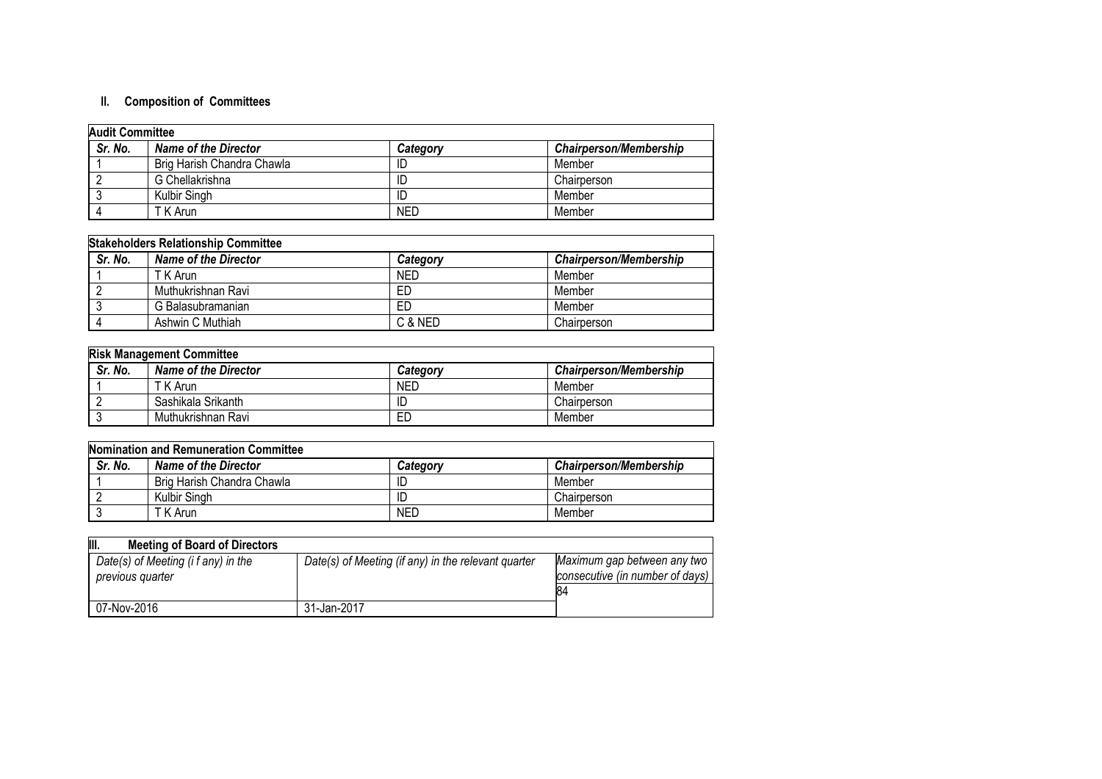# **II. Composition of Committees**

| <b>Audit Committee</b> |                            |            |                               |
|------------------------|----------------------------|------------|-------------------------------|
| Sr. No.                | Name of the Director       | Category   | <b>Chairperson/Membership</b> |
|                        | Brig Harish Chandra Chawla |            | Member                        |
|                        | G Chellakrishna            |            | Chairperson                   |
|                        | Kulbir Singh               |            | Member                        |
|                        | T K Arun                   | <b>NED</b> | Member                        |

| <b>Stakeholders Relationship Committee</b> |                             |            |                               |  |
|--------------------------------------------|-----------------------------|------------|-------------------------------|--|
| Sr. No.                                    | <b>Name of the Director</b> | Category   | <b>Chairperson/Membership</b> |  |
|                                            | T K Arun                    | <b>NED</b> | Member                        |  |
|                                            | Muthukrishnan Ravi          | ED         | Member                        |  |
|                                            | G Balasubramanian           | ED         | Member                        |  |
|                                            | Ashwin C Muthiah            | C & NED    | Chairperson                   |  |

| <b>Risk Management Committee</b> |                             |            |                        |  |
|----------------------------------|-----------------------------|------------|------------------------|--|
| Sr. No.                          | <b>Name of the Director</b> | Category   | Chairperson/Membership |  |
|                                  | T K Arun                    | <b>NED</b> | Member                 |  |
|                                  | Sashikala Srikanth          | ID         | Chairperson            |  |
|                                  | Muthukrishnan Ravi          | ЕD         | Member                 |  |

| Nomination and Remuneration Committee |                            |            |                               |  |
|---------------------------------------|----------------------------|------------|-------------------------------|--|
| Sr. No.                               | Name of the Director       | Category   | <b>Chairperson/Membership</b> |  |
|                                       | Brig Harish Chandra Chawla | ID         | Member                        |  |
|                                       | Kulbir Singh               | ID         | Chairperson                   |  |
|                                       | T K Arun                   | <b>NED</b> | Member                        |  |

| III.<br><b>Meeting of Board of Directors</b>            |                                                     |                                                                       |
|---------------------------------------------------------|-----------------------------------------------------|-----------------------------------------------------------------------|
| Date(s) of Meeting (i f any) in the<br>previous quarter | Date(s) of Meeting (if any) in the relevant quarter | Maximum gap between any two<br>consecutive (in number of days)<br>184 |
| 07-Nov-2016                                             | 31-Jan-2017                                         |                                                                       |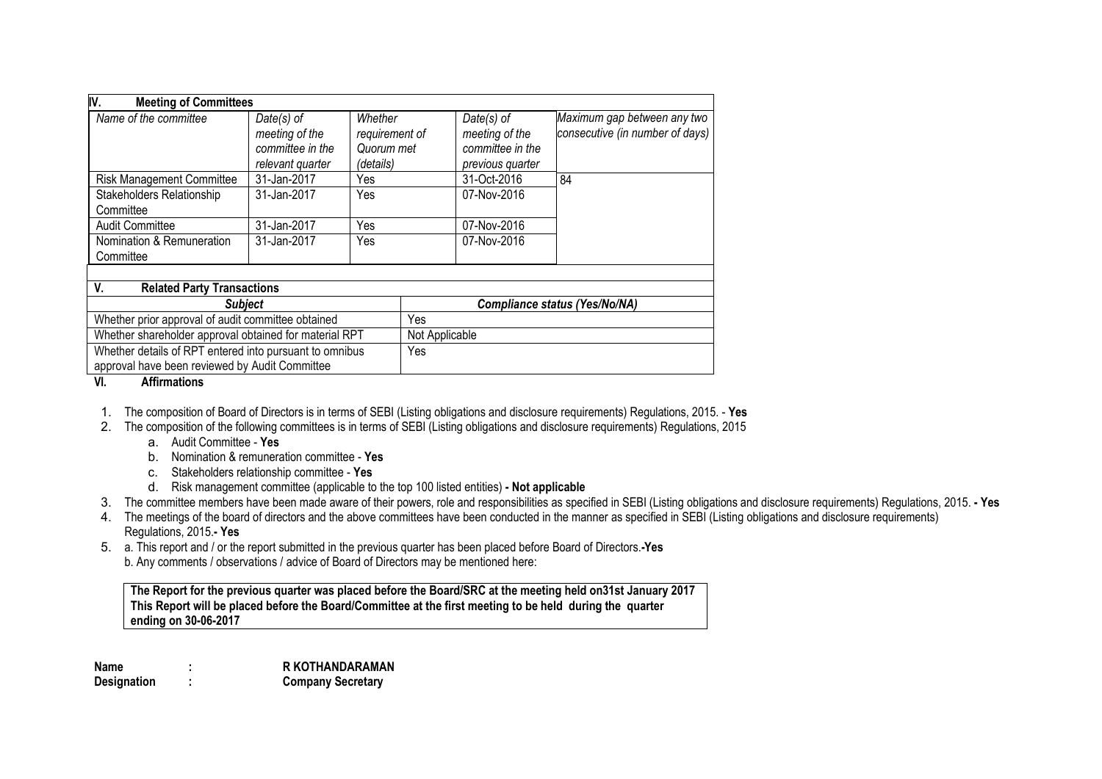| IV.<br><b>Meeting of Committees</b>                                                                       |                                                                        |                                                      |     |                                                                        |                                                                |
|-----------------------------------------------------------------------------------------------------------|------------------------------------------------------------------------|------------------------------------------------------|-----|------------------------------------------------------------------------|----------------------------------------------------------------|
| Name of the committee                                                                                     | $Date(s)$ of<br>meeting of the<br>committee in the<br>relevant quarter | Whether<br>requirement of<br>Quorum met<br>(details) |     | $Date(s)$ of<br>meeting of the<br>committee in the<br>previous quarter | Maximum gap between any two<br>consecutive (in number of days) |
| <b>Risk Management Committee</b>                                                                          | 31-Jan-2017                                                            | Yes                                                  |     | 31-Oct-2016                                                            | 84                                                             |
| Stakeholders Relationship<br>Committee                                                                    | 31-Jan-2017                                                            | Yes                                                  |     | 07-Nov-2016                                                            |                                                                |
| <b>Audit Committee</b>                                                                                    | 31-Jan-2017                                                            | Yes                                                  |     | 07-Nov-2016                                                            |                                                                |
| Nomination & Remuneration<br>Committee                                                                    | 31-Jan-2017                                                            | Yes                                                  |     | 07-Nov-2016                                                            |                                                                |
|                                                                                                           |                                                                        |                                                      |     |                                                                        |                                                                |
| V.<br><b>Related Party Transactions</b>                                                                   |                                                                        |                                                      |     |                                                                        |                                                                |
| <b>Subject</b>                                                                                            |                                                                        |                                                      |     |                                                                        | <b>Compliance status (Yes/No/NA)</b>                           |
| Whether prior approval of audit committee obtained                                                        |                                                                        |                                                      |     |                                                                        |                                                                |
| Whether shareholder approval obtained for material RPT                                                    |                                                                        |                                                      |     | Not Applicable                                                         |                                                                |
| Whether details of RPT entered into pursuant to omnibus<br>approval have been reviewed by Audit Committee |                                                                        |                                                      | Yes |                                                                        |                                                                |

#### **VI. Affirmations**

1. The composition of Board of Directors is in terms of SEBI (Listing obligations and disclosure requirements) Regulations, 2015. - **Yes**

- 2. The composition of the following committees is in terms of SEBI (Listing obligations and disclosure requirements) Regulations, 2015
	- a. Audit Committee **Yes**
	- b. Nomination & remuneration committee **Yes**
	- c. Stakeholders relationship committee **Yes**
	- d. Risk management committee (applicable to the top 100 listed entities) **- Not applicable**
- 3. The committee members have been made aware of their powers, role and responsibilities as specified in SEBI (Listing obligations and disclosure requirements) Regulations, 2015. **- Yes**
- 4. The meetings of the board of directors and the above committees have been conducted in the manner as specified in SEBI (Listing obligations and disclosure requirements) Regulations, 2015.**- Yes**
- 5. a. This report and / or the report submitted in the previous quarter has been placed before Board of Directors.**-Yes** b. Any comments / observations / advice of Board of Directors may be mentioned here:

**The Report for the previous quarter was placed before the Board/SRC at the meeting held on31st January 2017 This Report will be placed before the Board/Committee at the first meeting to be held during the quarter ending on 30-06-2017**

**Name : R KOTHANDARAMAN Designation : Company Secretary**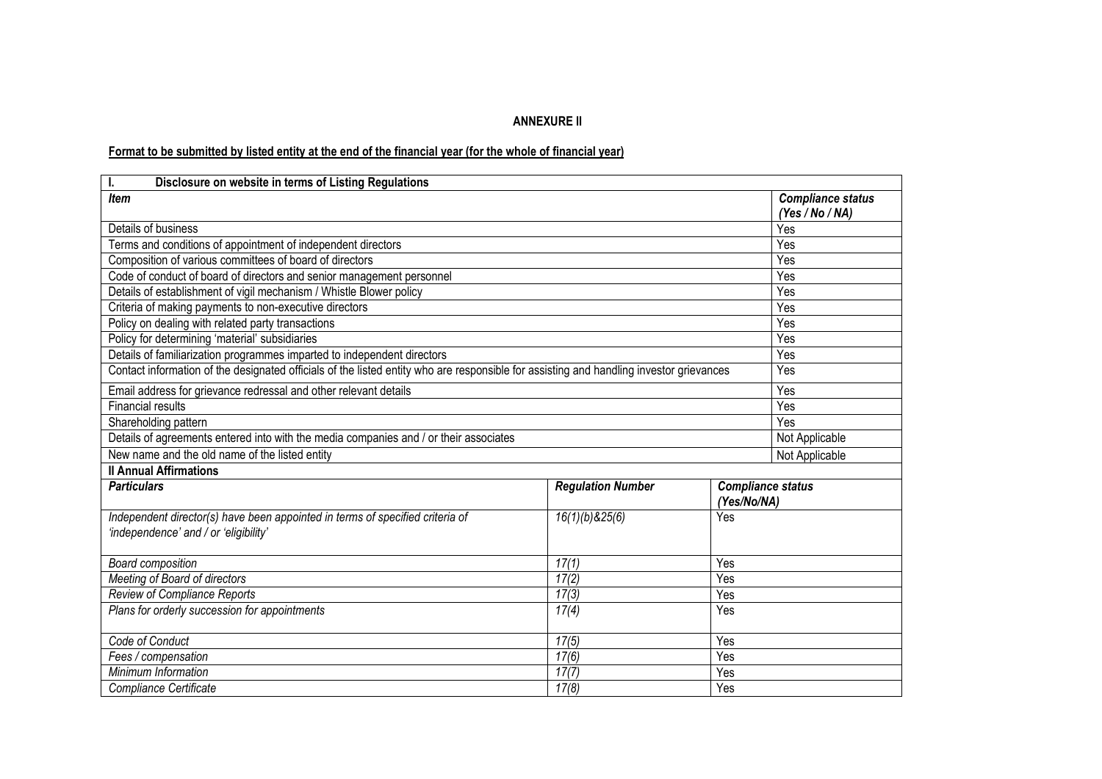# **ANNEXURE II**

# Format to be submitted by listed entity at the end of the financial year (for the whole of financial year)

| I.<br>Disclosure on website in terms of Listing Regulations                                                                             |                          |             |                                             |
|-----------------------------------------------------------------------------------------------------------------------------------------|--------------------------|-------------|---------------------------------------------|
| <b>Item</b>                                                                                                                             |                          |             | <b>Compliance status</b><br>(Yes / No / NA) |
| Details of business                                                                                                                     |                          |             | Yes                                         |
| Terms and conditions of appointment of independent directors                                                                            |                          |             | Yes                                         |
| Composition of various committees of board of directors                                                                                 |                          |             | Yes                                         |
| Code of conduct of board of directors and senior management personnel                                                                   |                          |             | Yes                                         |
| Details of establishment of vigil mechanism / Whistle Blower policy                                                                     |                          |             | Yes                                         |
| Criteria of making payments to non-executive directors                                                                                  |                          |             | Yes                                         |
| Policy on dealing with related party transactions                                                                                       |                          |             | Yes                                         |
| Policy for determining 'material' subsidiaries                                                                                          |                          |             | Yes                                         |
| Details of familiarization programmes imparted to independent directors                                                                 |                          |             | Yes                                         |
| Contact information of the designated officials of the listed entity who are responsible for assisting and handling investor grievances |                          |             | Yes                                         |
| Email address for grievance redressal and other relevant details                                                                        | Yes                      |             |                                             |
| <b>Financial results</b>                                                                                                                | Yes                      |             |                                             |
| Shareholding pattern                                                                                                                    | Yes                      |             |                                             |
| Details of agreements entered into with the media companies and / or their associates                                                   | Not Applicable           |             |                                             |
| New name and the old name of the listed entity                                                                                          | Not Applicable           |             |                                             |
| <b>Il Annual Affirmations</b>                                                                                                           |                          |             |                                             |
| <b>Particulars</b>                                                                                                                      | <b>Regulation Number</b> |             | <b>Compliance status</b>                    |
|                                                                                                                                         |                          | (Yes/No/NA) |                                             |
| Independent director(s) have been appointed in terms of specified criteria of                                                           | 16(1)(b)825(6)           | Yes         |                                             |
| 'independence' and / or 'eligibility'                                                                                                   |                          |             |                                             |
| <b>Board composition</b>                                                                                                                |                          |             |                                             |
| 17(2)<br>Meeting of Board of directors<br>Yes                                                                                           |                          |             |                                             |
| <b>Review of Compliance Reports</b><br>17(3)<br>Yes                                                                                     |                          |             |                                             |
| 17(4)<br>Plans for orderly succession for appointments<br>Yes                                                                           |                          |             |                                             |
| Code of Conduct                                                                                                                         |                          |             |                                             |
| Fees / compensation                                                                                                                     |                          |             |                                             |
| Minimum Information                                                                                                                     | 17(7)                    | Yes         |                                             |
| 17(8)<br>Compliance Certificate<br>Yes                                                                                                  |                          |             |                                             |